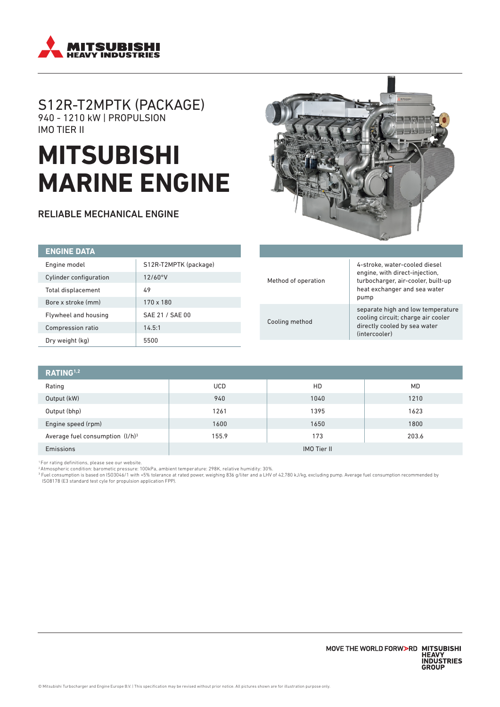

# S12R-T2MPTK (PACKAGE) 940 - 1210 kW | PROPULSION IMO TIER II

# **MITSUBISHI MARINE ENGINE**

RELIABLE MECHANICAL ENGINE



| <b>ENGINE DATA</b>        |                       |
|---------------------------|-----------------------|
| Engine model              | S12R-T2MPTK (package) |
| Cylinder configuration    | 12/60°V               |
| <b>Total displacement</b> | 49                    |
| Bore x stroke (mm)        | $170 \times 180$      |
| Flywheel and housing      | SAE 21 / SAE 00       |
| Compression ratio         | 14.5:1                |
| Dry weight (kg)           | 5500                  |

| Method of operation | 4-stroke, water-cooled diesel<br>engine, with direct-injection,<br>turbocharger, air-cooler, built-up<br>heat exchanger and sea water<br>pump |  |
|---------------------|-----------------------------------------------------------------------------------------------------------------------------------------------|--|
| Cooling method      | separate high and low temperature<br>cooling circuit; charge air cooler<br>directly cooled by sea water<br>(intercooler)                      |  |

| RATING <sup>1,2</sup>              |                    |      |           |  |
|------------------------------------|--------------------|------|-----------|--|
| Rating                             | <b>UCD</b>         | HD   | <b>MD</b> |  |
| Output (kW)                        | 940                | 1040 | 1210      |  |
| Output (bhp)                       | 1261               | 1395 | 1623      |  |
| Engine speed (rpm)                 | 1600               | 1650 | 1800      |  |
| Average fuel consumption $(l/h)^3$ | 155.9              | 173  | 203.6     |  |
| Emissions                          | <b>IMO Tier II</b> |      |           |  |

1 For rating definitions, please see our website.

<sup>2</sup> Atmospheric condition: barometic pressure: 100kPa, ambient temperature: 298K, relative humidity: 30%.<br><sup>3</sup> Fuel consumption is based on ISO3046/1 with +5% tolerance at rated power, weighing 836 g/liter and a LHV of 42,7